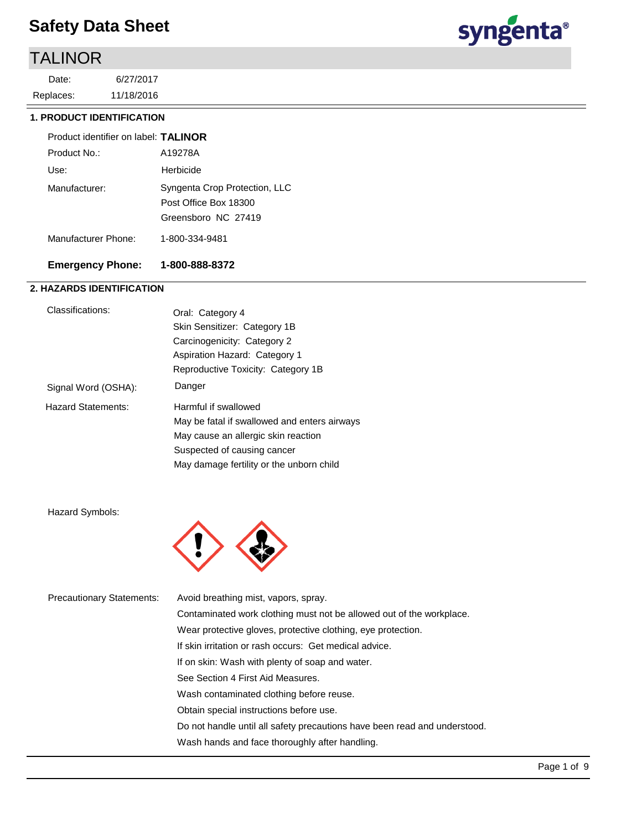## TALINOR

11/18/2016 6/27/2017 Replaces: Date:



#### **1. PRODUCT IDENTIFICATION**

| Product identifier on label: TALINOR |                                                                               |
|--------------------------------------|-------------------------------------------------------------------------------|
| Product No.:                         | A19278A                                                                       |
| Use:                                 | Herbicide                                                                     |
| Manufacturer:                        | Syngenta Crop Protection, LLC<br>Post Office Box 18300<br>Greensboro NC 27419 |
| Manufacturer Phone:                  | 1-800-334-9481                                                                |

### **Emergency Phone: 1-800-888-8372**

### **2. HAZARDS IDENTIFICATION**

| Classifications:          | Oral: Category 4                             |
|---------------------------|----------------------------------------------|
|                           | Skin Sensitizer: Category 1B                 |
|                           | Carcinogenicity: Category 2                  |
|                           | Aspiration Hazard: Category 1                |
|                           | Reproductive Toxicity: Category 1B           |
| Signal Word (OSHA):       | Danger                                       |
| <b>Hazard Statements:</b> | Harmful if swallowed                         |
|                           | May be fatal if swallowed and enters airways |
|                           | May cause an allergic skin reaction          |
|                           | Suspected of causing cancer                  |
|                           | May damage fertility or the unborn child     |

Hazard Symbols:



| <b>Precautionary Statements:</b> | Avoid breathing mist, vapors, spray.                                      |
|----------------------------------|---------------------------------------------------------------------------|
|                                  | Contaminated work clothing must not be allowed out of the workplace.      |
|                                  | Wear protective gloves, protective clothing, eye protection.              |
|                                  | If skin irritation or rash occurs: Get medical advice.                    |
|                                  | If on skin: Wash with plenty of soap and water.                           |
|                                  | See Section 4 First Aid Measures.                                         |
|                                  | Wash contaminated clothing before reuse.                                  |
|                                  | Obtain special instructions before use.                                   |
|                                  | Do not handle until all safety precautions have been read and understood. |
|                                  | Wash hands and face thoroughly after handling.                            |
|                                  |                                                                           |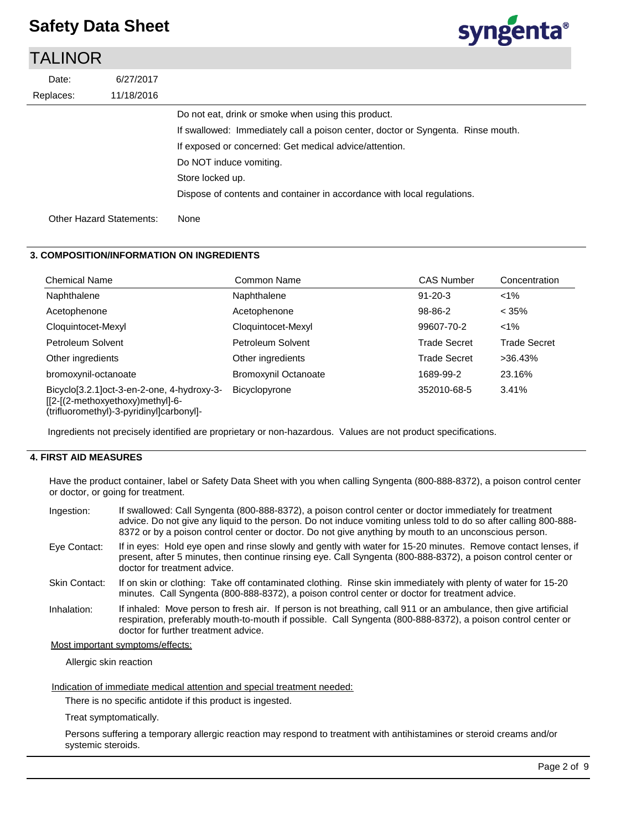### TALINOR



#### **3. COMPOSITION/INFORMATION ON INGREDIENTS**

| <b>Chemical Name</b>                                                                                                       | Common Name                 | <b>CAS Number</b>   | Concentration       |
|----------------------------------------------------------------------------------------------------------------------------|-----------------------------|---------------------|---------------------|
| Naphthalene                                                                                                                | Naphthalene                 | $91 - 20 - 3$       | $< 1\%$             |
| Acetophenone                                                                                                               | Acetophenone                | 98-86-2             | $< 35\%$            |
| Cloquintocet-Mexyl                                                                                                         | Cloquintocet-Mexyl          | 99607-70-2          | $< 1\%$             |
| Petroleum Solvent                                                                                                          | Petroleum Solvent           | <b>Trade Secret</b> | <b>Trade Secret</b> |
| Other ingredients                                                                                                          | Other ingredients           | <b>Trade Secret</b> | $>36.43\%$          |
| bromoxynil-octanoate                                                                                                       | <b>Bromoxynil Octanoate</b> | 1689-99-2           | 23.16%              |
| Bicyclo[3.2.1]oct-3-en-2-one, 4-hydroxy-3-<br>[[2-[(2-methoxyethoxy)methyl]-6-<br>(trifluoromethyl)-3-pyridinyl]carbonyl]- | <b>Bicyclopyrone</b>        | 352010-68-5         | 3.41%               |

Ingredients not precisely identified are proprietary or non-hazardous. Values are not product specifications.

#### **4. FIRST AID MEASURES**

Have the product container, label or Safety Data Sheet with you when calling Syngenta (800-888-8372), a poison control center or doctor, or going for treatment.

| Ingestion:           | If swallowed: Call Syngenta (800-888-8372), a poison control center or doctor immediately for treatment<br>advice. Do not give any liquid to the person. Do not induce vomiting unless told to do so after calling 800-888-<br>8372 or by a poison control center or doctor. Do not give anything by mouth to an unconscious person. |
|----------------------|--------------------------------------------------------------------------------------------------------------------------------------------------------------------------------------------------------------------------------------------------------------------------------------------------------------------------------------|
| Eye Contact:         | If in eyes: Hold eye open and rinse slowly and gently with water for 15-20 minutes. Remove contact lenses, if<br>present, after 5 minutes, then continue rinsing eye. Call Syngenta (800-888-8372), a poison control center or<br>doctor for treatment advice.                                                                       |
| <b>Skin Contact:</b> | If on skin or clothing: Take off contaminated clothing. Rinse skin immediately with plenty of water for 15-20<br>minutes. Call Syngenta (800-888-8372), a poison control center or doctor for treatment advice.                                                                                                                      |
| Inhalation:          | If inhaled: Move person to fresh air. If person is not breathing, call 911 or an ambulance, then give artificial<br>respiration, preferably mouth-to-mouth if possible. Call Syngenta (800-888-8372), a poison control center or<br>doctor for further treatment advice.                                                             |

#### Most important symptoms/effects:

Allergic skin reaction

Indication of immediate medical attention and special treatment needed:

There is no specific antidote if this product is ingested.

Treat symptomatically.

Persons suffering a temporary allergic reaction may respond to treatment with antihistamines or steroid creams and/or systemic steroids.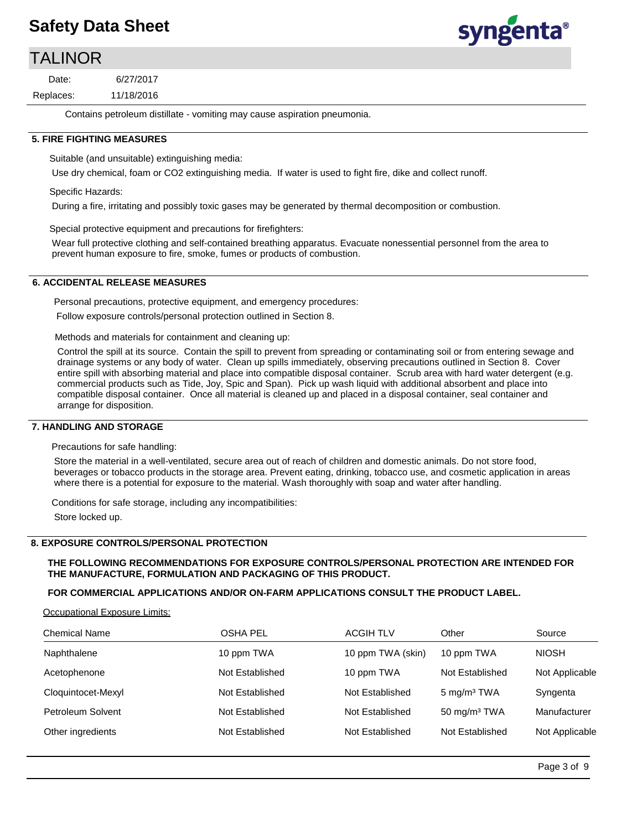### TALINOR

11/18/2016 6/27/2017 Replaces: Date:

Contains petroleum distillate - vomiting may cause aspiration pneumonia.

#### **5. FIRE FIGHTING MEASURES**

Suitable (and unsuitable) extinguishing media:

Use dry chemical, foam or CO2 extinguishing media. If water is used to fight fire, dike and collect runoff.

Specific Hazards:

During a fire, irritating and possibly toxic gases may be generated by thermal decomposition or combustion.

Special protective equipment and precautions for firefighters:

Wear full protective clothing and self-contained breathing apparatus. Evacuate nonessential personnel from the area to prevent human exposure to fire, smoke, fumes or products of combustion.

#### **6. ACCIDENTAL RELEASE MEASURES**

Personal precautions, protective equipment, and emergency procedures:

Follow exposure controls/personal protection outlined in Section 8.

Methods and materials for containment and cleaning up:

Control the spill at its source. Contain the spill to prevent from spreading or contaminating soil or from entering sewage and drainage systems or any body of water. Clean up spills immediately, observing precautions outlined in Section 8. Cover entire spill with absorbing material and place into compatible disposal container. Scrub area with hard water detergent (e.g. commercial products such as Tide, Joy, Spic and Span). Pick up wash liquid with additional absorbent and place into compatible disposal container. Once all material is cleaned up and placed in a disposal container, seal container and arrange for disposition.

#### **7. HANDLING AND STORAGE**

Precautions for safe handling:

Store the material in a well-ventilated, secure area out of reach of children and domestic animals. Do not store food, beverages or tobacco products in the storage area. Prevent eating, drinking, tobacco use, and cosmetic application in areas where there is a potential for exposure to the material. Wash thoroughly with soap and water after handling.

Conditions for safe storage, including any incompatibilities: Store locked up.

#### **8. EXPOSURE CONTROLS/PERSONAL PROTECTION**

#### **THE FOLLOWING RECOMMENDATIONS FOR EXPOSURE CONTROLS/PERSONAL PROTECTION ARE INTENDED FOR THE MANUFACTURE, FORMULATION AND PACKAGING OF THIS PRODUCT.**

#### **FOR COMMERCIAL APPLICATIONS AND/OR ON-FARM APPLICATIONS CONSULT THE PRODUCT LABEL.**

Occupational Exposure Limits:

| <b>Chemical Name</b> | OSHA PEL        | <b>ACGIH TLV</b>  | Other                   | Source         |
|----------------------|-----------------|-------------------|-------------------------|----------------|
| Naphthalene          | 10 ppm TWA      | 10 ppm TWA (skin) | 10 ppm TWA              | <b>NIOSH</b>   |
| Acetophenone         | Not Established | 10 ppm TWA        | Not Established         | Not Applicable |
| Cloquintocet-Mexyl   | Not Established | Not Established   | 5 mg/m <sup>3</sup> TWA | Syngenta       |
| Petroleum Solvent    | Not Established | Not Established   | 50 mg/m $3$ TWA         | Manufacturer   |
| Other ingredients    | Not Established | Not Established   | Not Established         | Not Applicable |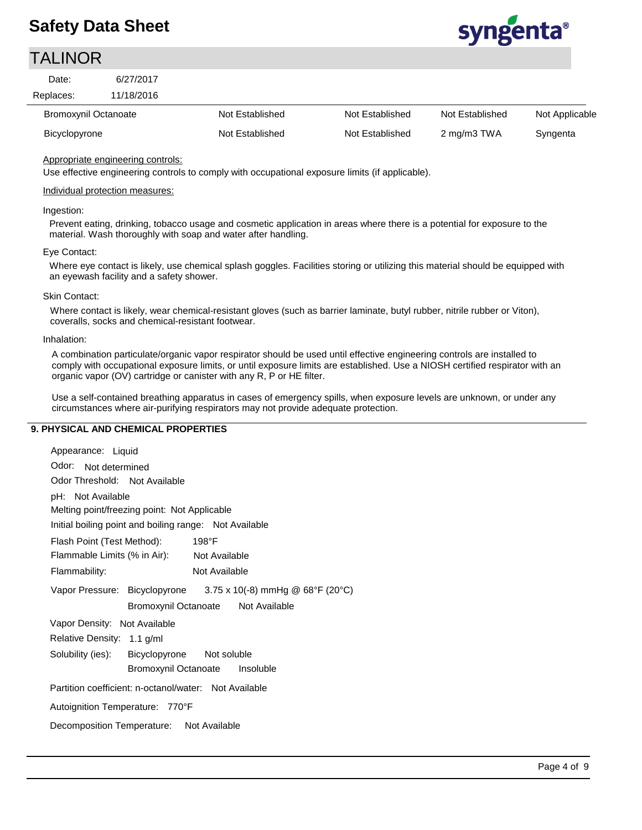### TALINOR



Appropriate engineering controls:

Use effective engineering controls to comply with occupational exposure limits (if applicable).

#### Individual protection measures:

#### Ingestion:

Prevent eating, drinking, tobacco usage and cosmetic application in areas where there is a potential for exposure to the material. Wash thoroughly with soap and water after handling.

#### Eye Contact:

Where eye contact is likely, use chemical splash goggles. Facilities storing or utilizing this material should be equipped with an eyewash facility and a safety shower.

#### Skin Contact:

Where contact is likely, wear chemical-resistant gloves (such as barrier laminate, butyl rubber, nitrile rubber or Viton), coveralls, socks and chemical-resistant footwear.

#### Inhalation:

A combination particulate/organic vapor respirator should be used until effective engineering controls are installed to comply with occupational exposure limits, or until exposure limits are established. Use a NIOSH certified respirator with an organic vapor (OV) cartridge or canister with any R, P or HE filter.

Use a self-contained breathing apparatus in cases of emergency spills, when exposure levels are unknown, or under any circumstances where air-purifying respirators may not provide adequate protection.

#### **9. PHYSICAL AND CHEMICAL PROPERTIES**

| Appearance: Liquid                                             |  |  |
|----------------------------------------------------------------|--|--|
| Odor: Not determined                                           |  |  |
| Odor Threshold: Not Available                                  |  |  |
| pH: Not Available                                              |  |  |
| Melting point/freezing point: Not Applicable                   |  |  |
| Initial boiling point and boiling range: Not Available         |  |  |
| Flash Point (Test Method):<br>198°F                            |  |  |
| Flammable Limits (% in Air): Not Available                     |  |  |
| Flammability:<br>Not Available                                 |  |  |
| Vapor Pressure: Bicyclopyrone 3.75 x 10(-8) mmHg @ 68°F (20°C) |  |  |
| Bromoxynil Octanoate Not Available                             |  |  |
| Vapor Density: Not Available                                   |  |  |
| Relative Density: 1.1 g/ml                                     |  |  |
| Solubility (ies): Bicyclopyrone Not soluble                    |  |  |
| Bromoxynil Octanoate Insoluble                                 |  |  |
| Partition coefficient: n-octanol/water: Not Available          |  |  |
| Autoignition Temperature: 770°F                                |  |  |
| Decomposition Temperature: Not Available                       |  |  |
|                                                                |  |  |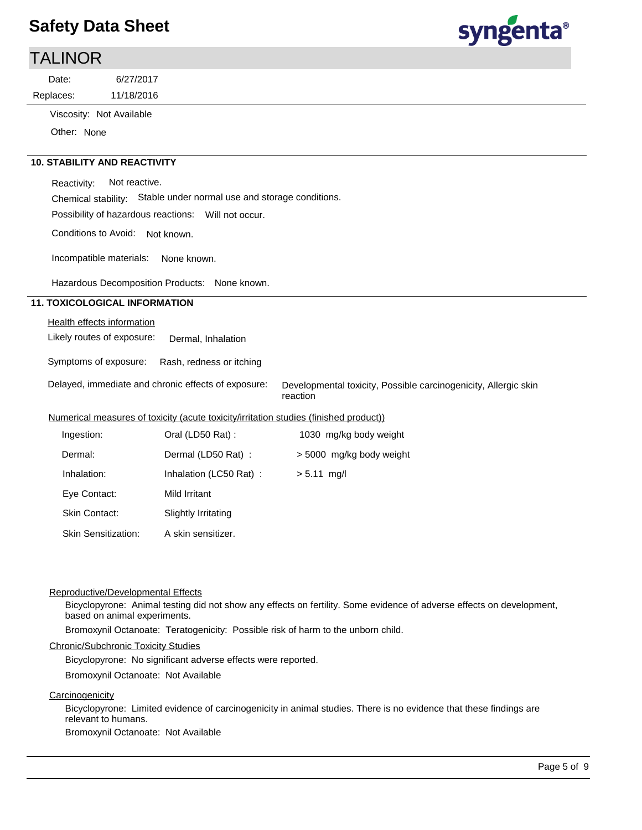

| <b>TALINOR</b> |                          |  |  |  |
|----------------|--------------------------|--|--|--|
| Date:          | 6/27/2017                |  |  |  |
| Replaces:      | 11/18/2016               |  |  |  |
|                | Viscosity: Not Available |  |  |  |
| Other: None    |                          |  |  |  |

 **10. STABILITY AND REACTIVITY**

Reactivity: Not reactive.

Chemical stability: Stable under normal use and storage conditions.

Possibility of hazardous reactions: Will not occur.

Conditions to Avoid: Not known.

Incompatible materials: None known.

Hazardous Decomposition Products: None known.

#### **11. TOXICOLOGICAL INFORMATION**

#### Health effects information

Likely routes of exposure: Dermal, Inhalation

Symptoms of exposure: Rash, redness or itching

Delayed, immediate and chronic effects of exposure:

Developmental toxicity, Possible carcinogenicity, Allergic skin reaction

#### Numerical measures of toxicity (acute toxicity/irritation studies (finished product))

| Ingestion:                 | Oral (LD50 Rat):       | 1030 mg/kg body weight   |
|----------------------------|------------------------|--------------------------|
| Dermal:                    | Dermal (LD50 Rat):     | > 5000 mg/kg body weight |
| Inhalation:                | Inhalation (LC50 Rat): | $> 5.11$ mg/l            |
| Eye Contact:               | Mild Irritant          |                          |
| <b>Skin Contact:</b>       | Slightly Irritating    |                          |
| <b>Skin Sensitization:</b> | A skin sensitizer.     |                          |

#### Reproductive/Developmental Effects

Bicyclopyrone: Animal testing did not show any effects on fertility. Some evidence of adverse effects on development, based on animal experiments.

Bromoxynil Octanoate: Teratogenicity: Possible risk of harm to the unborn child.

#### Chronic/Subchronic Toxicity Studies

Bicyclopyrone: No significant adverse effects were reported. Bromoxynil Octanoate: Not Available

#### **Carcinogenicity**

Bicyclopyrone: Limited evidence of carcinogenicity in animal studies. There is no evidence that these findings are relevant to humans.

Bromoxynil Octanoate: Not Available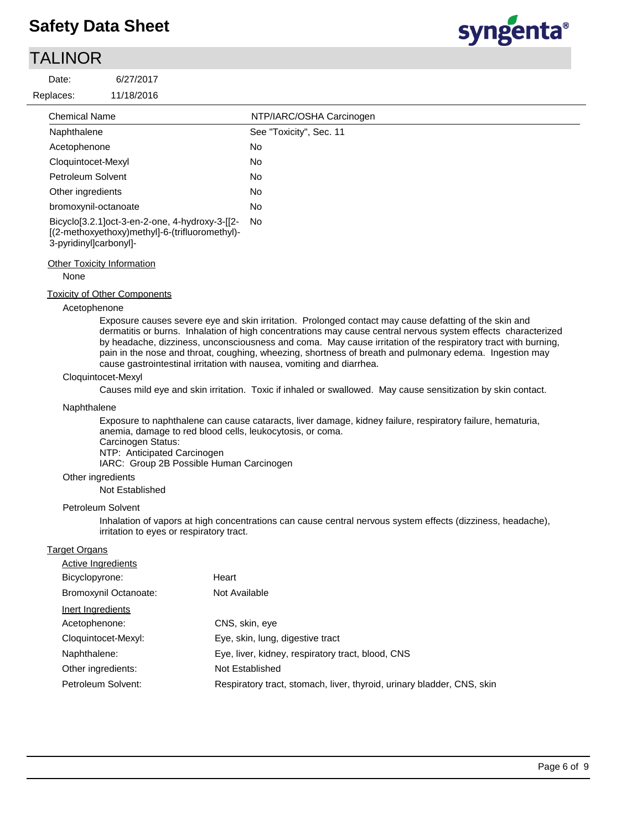### TALINOR

Date:

Replaces:



| <b>Chemical Name</b>                                                                                                       | NTP/IARC/OSHA Carcinogen |
|----------------------------------------------------------------------------------------------------------------------------|--------------------------|
| Naphthalene                                                                                                                | See "Toxicity", Sec. 11  |
| Acetophenone                                                                                                               | No                       |
| Cloquintocet-Mexyl                                                                                                         | No                       |
| Petroleum Solvent                                                                                                          | No                       |
| Other ingredients                                                                                                          | No                       |
| bromoxynil-octanoate                                                                                                       | No                       |
| Bicyclo[3.2.1]oct-3-en-2-one, 4-hydroxy-3-[[2-<br>[(2-methoxyethoxy)methyl]-6-(trifluoromethyl)-<br>3-pyridinyl]carbonyl]- | No                       |

#### **Other Toxicity Information**

#### None

#### Toxicity of Other Components

#### Acetophenone

Exposure causes severe eye and skin irritation. Prolonged contact may cause defatting of the skin and dermatitis or burns. Inhalation of high concentrations may cause central nervous system effects characterized by headache, dizziness, unconsciousness and coma. May cause irritation of the respiratory tract with burning, pain in the nose and throat, coughing, wheezing, shortness of breath and pulmonary edema. Ingestion may cause gastrointestinal irritation with nausea, vomiting and diarrhea.

#### Cloquintocet-Mexyl

Causes mild eye and skin irritation. Toxic if inhaled or swallowed. May cause sensitization by skin contact.

#### Naphthalene

Exposure to naphthalene can cause cataracts, liver damage, kidney failure, respiratory failure, hematuria, anemia, damage to red blood cells, leukocytosis, or coma. Carcinogen Status: NTP: Anticipated Carcinogen IARC: Group 2B Possible Human Carcinogen

#### Other ingredients

Not Established

#### Petroleum Solvent

Inhalation of vapors at high concentrations can cause central nervous system effects (dizziness, headache), irritation to eyes or respiratory tract.

#### Target Organs

| Active Ingredients    |                                                                        |
|-----------------------|------------------------------------------------------------------------|
| Bicyclopyrone:        | Heart                                                                  |
| Bromoxynil Octanoate: | Not Available                                                          |
| Inert Ingredients     |                                                                        |
| Acetophenone:         | CNS, skin, eye                                                         |
| Cloquintocet-Mexyl:   | Eye, skin, lung, digestive tract                                       |
| Naphthalene:          | Eye, liver, kidney, respiratory tract, blood, CNS                      |
| Other ingredients:    | Not Established                                                        |
| Petroleum Solvent:    | Respiratory tract, stomach, liver, thyroid, urinary bladder, CNS, skin |
|                       |                                                                        |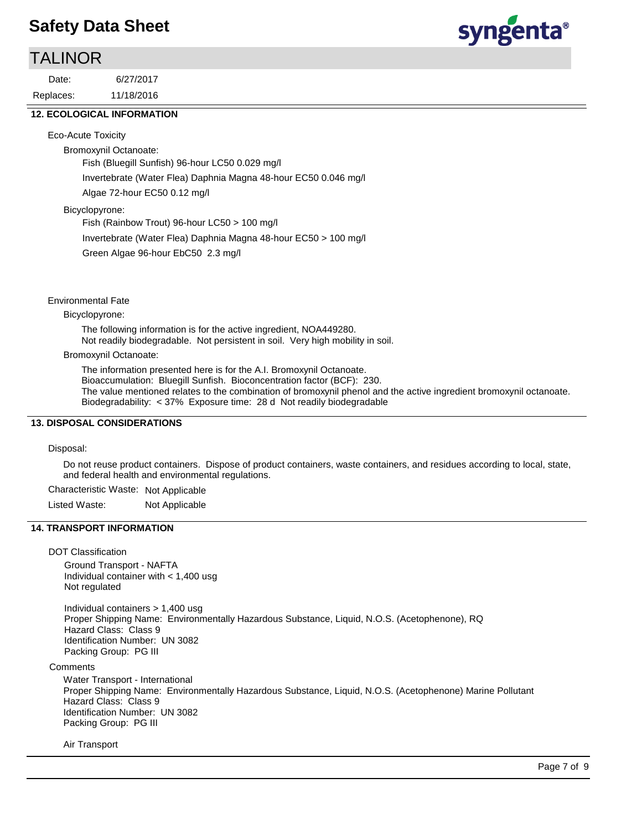### TALINOR

11/18/2016 6/27/2017 Replaces: Date:



#### **12. ECOLOGICAL INFORMATION**

Eco-Acute Toxicity

Bromoxynil Octanoate: Fish (Bluegill Sunfish) 96-hour LC50 0.029 mg/l Invertebrate (Water Flea) Daphnia Magna 48-hour EC50 0.046 mg/l Algae 72-hour EC50 0.12 mg/l

Bicyclopyrone:

Fish (Rainbow Trout) 96-hour LC50 > 100 mg/l

Invertebrate (Water Flea) Daphnia Magna 48-hour EC50 > 100 mg/l

Green Algae 96-hour EbC50 2.3 mg/l

#### Environmental Fate

Bicyclopyrone:

The following information is for the active ingredient, NOA449280. Not readily biodegradable. Not persistent in soil. Very high mobility in soil.

#### Bromoxynil Octanoate:

The information presented here is for the A.I. Bromoxynil Octanoate. Bioaccumulation: Bluegill Sunfish. Bioconcentration factor (BCF): 230. The value mentioned relates to the combination of bromoxynil phenol and the active ingredient bromoxynil octanoate. Biodegradability: < 37% Exposure time: 28 d Not readily biodegradable

#### **13. DISPOSAL CONSIDERATIONS**

Disposal:

Do not reuse product containers. Dispose of product containers, waste containers, and residues according to local, state, and federal health and environmental regulations.

Characteristic Waste: Not Applicable

Listed Waste: Not Applicable

#### **14. TRANSPORT INFORMATION**

DOT Classification

Ground Transport - NAFTA Individual container with < 1,400 usg Not regulated

Individual containers > 1,400 usg Proper Shipping Name: Environmentally Hazardous Substance, Liquid, N.O.S. (Acetophenone), RQ Hazard Class: Class 9 Identification Number: UN 3082 Packing Group: PG III

**Comments** 

Water Transport - International Proper Shipping Name: Environmentally Hazardous Substance, Liquid, N.O.S. (Acetophenone) Marine Pollutant Hazard Class: Class 9 Identification Number: UN 3082 Packing Group: PG III

Air Transport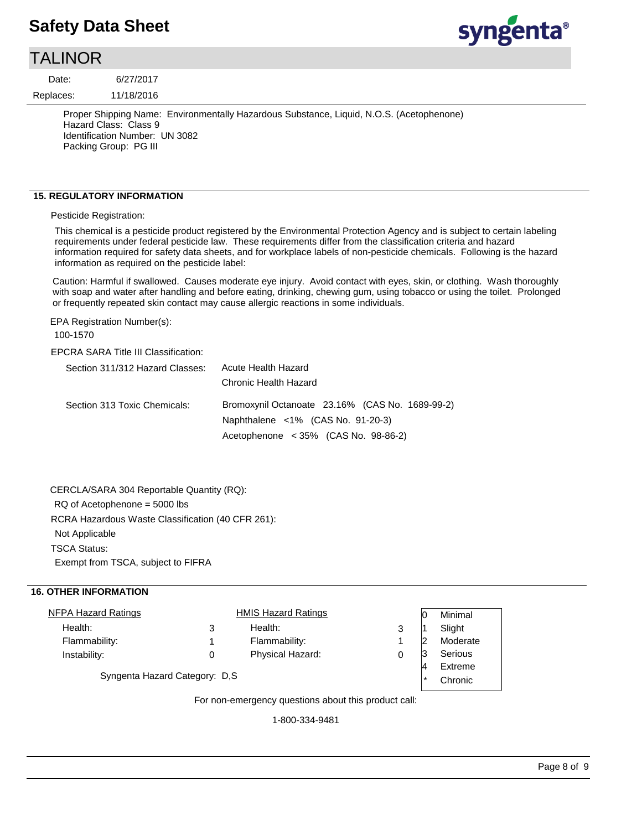### TALINOR

11/18/2016 6/27/2017 Replaces: Date:

> Proper Shipping Name: Environmentally Hazardous Substance, Liquid, N.O.S. (Acetophenone) Hazard Class: Class 9 Identification Number: UN 3082 Packing Group: PG III

#### **15. REGULATORY INFORMATION**

Pesticide Registration:

This chemical is a pesticide product registered by the Environmental Protection Agency and is subject to certain labeling requirements under federal pesticide law. These requirements differ from the classification criteria and hazard information required for safety data sheets, and for workplace labels of non-pesticide chemicals. Following is the hazard information as required on the pesticide label:

Caution: Harmful if swallowed. Causes moderate eye injury. Avoid contact with eyes, skin, or clothing. Wash thoroughly with soap and water after handling and before eating, drinking, chewing gum, using tobacco or using the toilet. Prolonged or frequently repeated skin contact may cause allergic reactions in some individuals.

EPA Registration Number(s):

100-1570

#### EPCRA SARA Title III Classification:

| Section 311/312 Hazard Classes: | Acute Health Hazard<br>Chronic Health Hazard                                                  |
|---------------------------------|-----------------------------------------------------------------------------------------------|
| Section 313 Toxic Chemicals:    | Bromoxynil Octanoate 23.16% (CAS No. 1689-99-2)<br>Naphthalene $\langle$ 1% (CAS No. 91-20-3) |
|                                 | Acetophenone $\lt$ 35% (CAS No. 98-86-2)                                                      |

RCRA Hazardous Waste Classification (40 CFR 261): Not Applicable TSCA Status: Exempt from TSCA, subject to FIFRA CERCLA/SARA 304 Reportable Quantity (RQ): RQ of Acetophenone = 5000 lbs

#### **16. OTHER INFORMATION**

|  | <b>HMIS Hazard Ratings</b> |                                |         | Minimal  |
|--|----------------------------|--------------------------------|---------|----------|
|  | Health:                    | 3                              |         | Slight   |
|  | Flammability:              |                                | 2       | Moderate |
|  | Physical Hazard:           |                                | 13      | Serious  |
|  |                            |                                |         |          |
|  |                            |                                | $\star$ | Chronic  |
|  |                            | Syngenta Hazard Category: D.S. |         |          |

For non-emergency questions about this product call:

1-800-334-9481